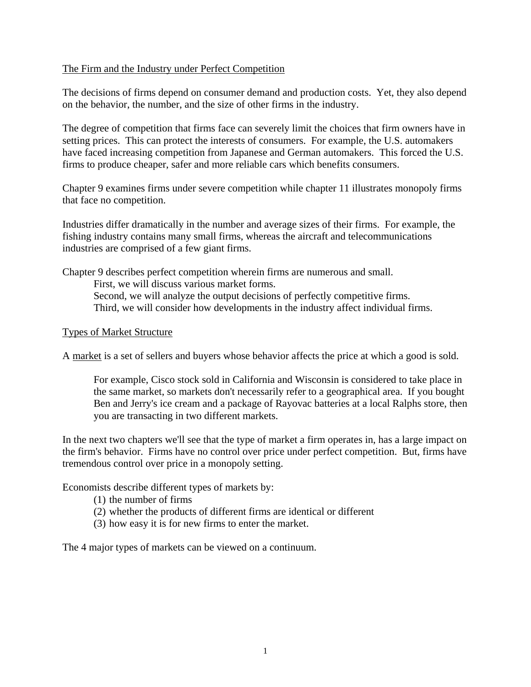# The Firm and the Industry under Perfect Competition

The decisions of firms depend on consumer demand and production costs. Yet, they also depend on the behavior, the number, and the size of other firms in the industry.

The degree of competition that firms face can severely limit the choices that firm owners have in setting prices. This can protect the interests of consumers. For example, the U.S. automakers have faced increasing competition from Japanese and German automakers. This forced the U.S. firms to produce cheaper, safer and more reliable cars which benefits consumers.

Chapter 9 examines firms under severe competition while chapter 11 illustrates monopoly firms that face no competition.

Industries differ dramatically in the number and average sizes of their firms. For example, the fishing industry contains many small firms, whereas the aircraft and telecommunications industries are comprised of a few giant firms.

Chapter 9 describes perfect competition wherein firms are numerous and small. First, we will discuss various market forms. Second, we will analyze the output decisions of perfectly competitive firms. Third, we will consider how developments in the industry affect individual firms.

#### Types of Market Structure

A market is a set of sellers and buyers whose behavior affects the price at which a good is sold.

For example, Cisco stock sold in California and Wisconsin is considered to take place in the same market, so markets don't necessarily refer to a geographical area. If you bought Ben and Jerry's ice cream and a package of Rayovac batteries at a local Ralphs store, then you are transacting in two different markets.

In the next two chapters we'll see that the type of market a firm operates in, has a large impact on the firm's behavior. Firms have no control over price under perfect competition. But, firms have tremendous control over price in a monopoly setting.

Economists describe different types of markets by:

- (1) the number of firms
- (2) whether the products of different firms are identical or different
- (3) how easy it is for new firms to enter the market.

The 4 major types of markets can be viewed on a continuum.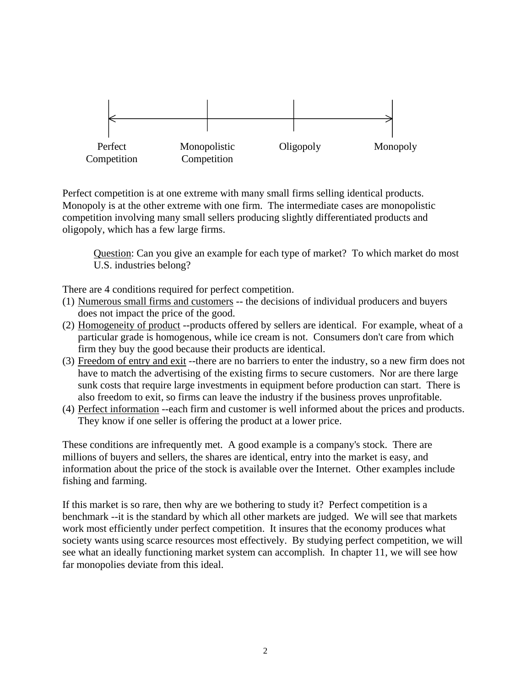

Perfect competition is at one extreme with many small firms selling identical products. Monopoly is at the other extreme with one firm. The intermediate cases are monopolistic competition involving many small sellers producing slightly differentiated products and oligopoly, which has a few large firms.

Question: Can you give an example for each type of market? To which market do most U.S. industries belong?

There are 4 conditions required for perfect competition.

- (1) Numerous small firms and customers -- the decisions of individual producers and buyers does not impact the price of the good.
- (2) Homogeneity of product --products offered by sellers are identical. For example, wheat of a particular grade is homogenous, while ice cream is not. Consumers don't care from which firm they buy the good because their products are identical.
- (3) Freedom of entry and exit --there are no barriers to enter the industry, so a new firm does not have to match the advertising of the existing firms to secure customers. Nor are there large sunk costs that require large investments in equipment before production can start. There is also freedom to exit, so firms can leave the industry if the business proves unprofitable.
- (4) Perfect information --each firm and customer is well informed about the prices and products. They know if one seller is offering the product at a lower price.

These conditions are infrequently met. A good example is a company's stock. There are millions of buyers and sellers, the shares are identical, entry into the market is easy, and information about the price of the stock is available over the Internet. Other examples include fishing and farming.

If this market is so rare, then why are we bothering to study it? Perfect competition is a benchmark --it is the standard by which all other markets are judged. We will see that markets work most efficiently under perfect competition. It insures that the economy produces what society wants using scarce resources most effectively. By studying perfect competition, we will see what an ideally functioning market system can accomplish. In chapter 11, we will see how far monopolies deviate from this ideal.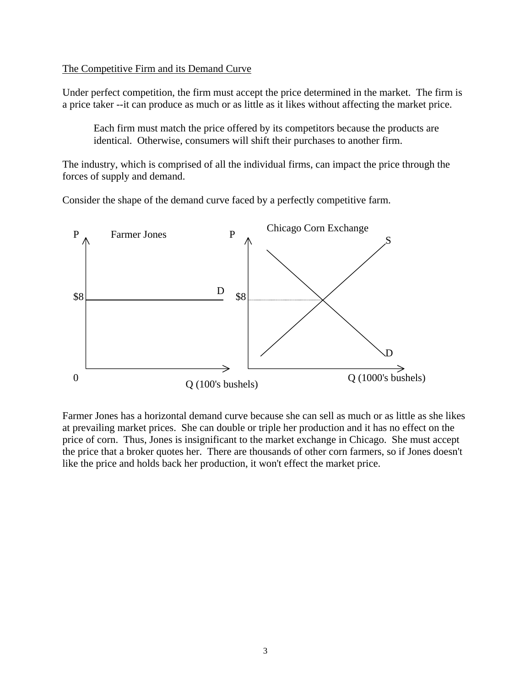#### The Competitive Firm and its Demand Curve

Under perfect competition, the firm must accept the price determined in the market. The firm is a price taker --it can produce as much or as little as it likes without affecting the market price.

Each firm must match the price offered by its competitors because the products are identical. Otherwise, consumers will shift their purchases to another firm.

The industry, which is comprised of all the individual firms, can impact the price through the forces of supply and demand.

Consider the shape of the demand curve faced by a perfectly competitive farm.



Farmer Jones has a horizontal demand curve because she can sell as much or as little as she likes at prevailing market prices. She can double or triple her production and it has no effect on the price of corn. Thus, Jones is insignificant to the market exchange in Chicago. She must accept the price that a broker quotes her. There are thousands of other corn farmers, so if Jones doesn't like the price and holds back her production, it won't effect the market price.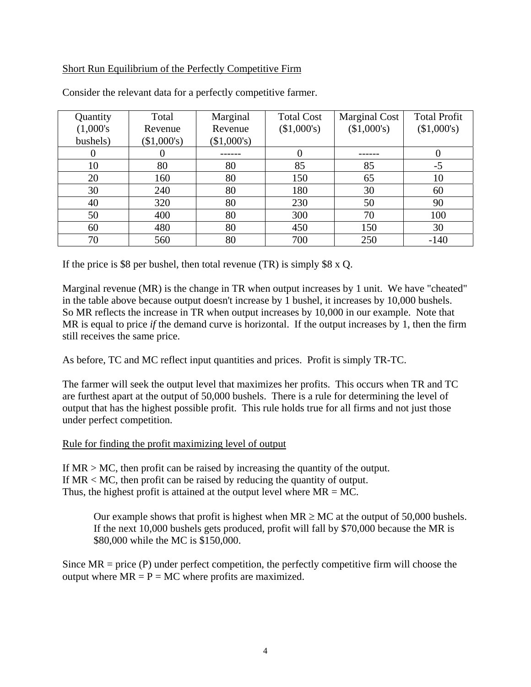# Short Run Equilibrium of the Perfectly Competitive Firm

| Quantity     | Total       | Marginal    | <b>Total Cost</b> | <b>Marginal Cost</b> | <b>Total Profit</b> |
|--------------|-------------|-------------|-------------------|----------------------|---------------------|
| $(1,000)$ 's | Revenue     | Revenue     | (\$1,000's)       | (\$1,000's)          | (\$1,000's)         |
| bushels)     | (\$1,000's) | (\$1,000's) |                   |                      |                     |
| $\theta$     |             |             |                   |                      | $\theta$            |
| 10           | 80          | 80          | 85                | 85                   | -5                  |
| 20           | 160         | 80          | 150               | 65                   | 10                  |
| 30           | 240         | 80          | 180               | 30                   | 60                  |
| 40           | 320         | 80          | 230               | 50                   | 90                  |
| 50           | 400         | 80          | 300               | 70                   | 100                 |
| 60           | 480         | 80          | 450               | 150                  | 30                  |
| 70           | 560         | 80          | 700               | 250                  | $-140$              |

Consider the relevant data for a perfectly competitive farmer.

If the price is \$8 per bushel, then total revenue  $(TR)$  is simply \$8 x Q.

Marginal revenue (MR) is the change in TR when output increases by 1 unit. We have "cheated" in the table above because output doesn't increase by 1 bushel, it increases by 10,000 bushels. So MR reflects the increase in TR when output increases by 10,000 in our example. Note that MR is equal to price *if* the demand curve is horizontal. If the output increases by 1, then the firm still receives the same price.

As before, TC and MC reflect input quantities and prices. Profit is simply TR-TC.

The farmer will seek the output level that maximizes her profits. This occurs when TR and TC are furthest apart at the output of 50,000 bushels. There is a rule for determining the level of output that has the highest possible profit. This rule holds true for all firms and not just those under perfect competition.

#### Rule for finding the profit maximizing level of output

If MR > MC, then profit can be raised by increasing the quantity of the output. If MR < MC, then profit can be raised by reducing the quantity of output. Thus, the highest profit is attained at the output level where  $MR = MC$ .

Our example shows that profit is highest when  $MR \ge MC$  at the output of 50,000 bushels. If the next 10,000 bushels gets produced, profit will fall by \$70,000 because the MR is \$80,000 while the MC is \$150,000.

Since  $MR = price (P)$  under perfect competition, the perfectly competitive firm will choose the output where  $MR = P = MC$  where profits are maximized.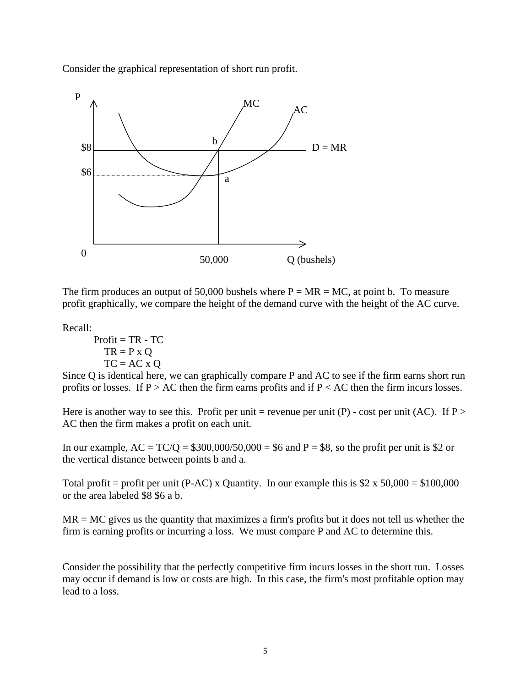Consider the graphical representation of short run profit.



The firm produces an output of 50,000 bushels where  $P = MR = MC$ , at point b. To measure profit graphically, we compare the height of the demand curve with the height of the AC curve.

Recall:

 $Profit = TR - TC$  $TR = P \times Q$  $TC = AC \times O$ 

Since Q is identical here, we can graphically compare P and AC to see if the firm earns short run profits or losses. If  $P > AC$  then the firm earns profits and if  $P < AC$  then the firm incurs losses.

Here is another way to see this. Profit per unit = revenue per unit (P) - cost per unit (AC). If P > AC then the firm makes a profit on each unit.

In our example,  $AC = TC/Q = $300,000/50,000 = $6$  and  $P = $8$ , so the profit per unit is \$2 or the vertical distance between points b and a.

Total profit = profit per unit (P-AC) x Quantity. In our example this is  $$2 \times 50,000 = $100,000$ or the area labeled \$8 \$6 a b.

 $MR = MC$  gives us the quantity that maximizes a firm's profits but it does not tell us whether the firm is earning profits or incurring a loss. We must compare P and AC to determine this.

Consider the possibility that the perfectly competitive firm incurs losses in the short run. Losses may occur if demand is low or costs are high. In this case, the firm's most profitable option may lead to a loss.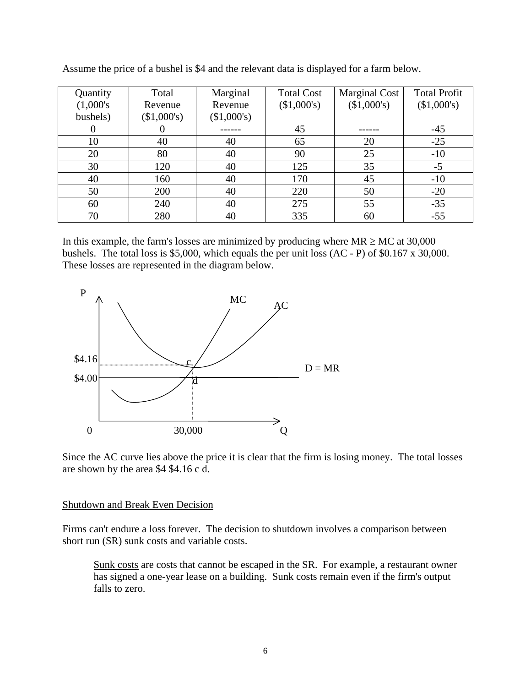| Quantity     | Total       | Marginal    | <b>Total Cost</b> | <b>Marginal Cost</b> | <b>Total Profit</b> |
|--------------|-------------|-------------|-------------------|----------------------|---------------------|
| $(1,000)$ 's | Revenue     | Revenue     | (\$1,000's)       | (\$1,000's)          | (\$1,000's)         |
| bushels)     | (\$1,000's) | (\$1,000's) |                   |                      |                     |
| $\theta$     |             |             | 45                |                      | $-45$               |
| 10           | 40          | 40          | 65                | 20                   | $-25$               |
| 20           | 80          | 40          | 90                | 25                   | $-10$               |
| 30           | 120         | 40          | 125               | 35                   | $-5$                |
| 40           | 160         | 40          | 170               | 45                   | $-10$               |
| 50           | 200         | 40          | 220               | 50                   | $-20$               |
| 60           | 240         | 40          | 275               | 55                   | $-35$               |
| 70           | 280         | 40          | 335               | 60                   | $-55$               |

Assume the price of a bushel is \$4 and the relevant data is displayed for a farm below.

In this example, the farm's losses are minimized by producing where  $MR \ge MC$  at 30,000 bushels. The total loss is \$5,000, which equals the per unit loss (AC - P) of \$0.167 x 30,000. These losses are represented in the diagram below.



Since the AC curve lies above the price it is clear that the firm is losing money. The total losses are shown by the area \$4 \$4.16 c d.

#### Shutdown and Break Even Decision

Firms can't endure a loss forever. The decision to shutdown involves a comparison between short run (SR) sunk costs and variable costs.

Sunk costs are costs that cannot be escaped in the SR. For example, a restaurant owner has signed a one-year lease on a building. Sunk costs remain even if the firm's output falls to zero.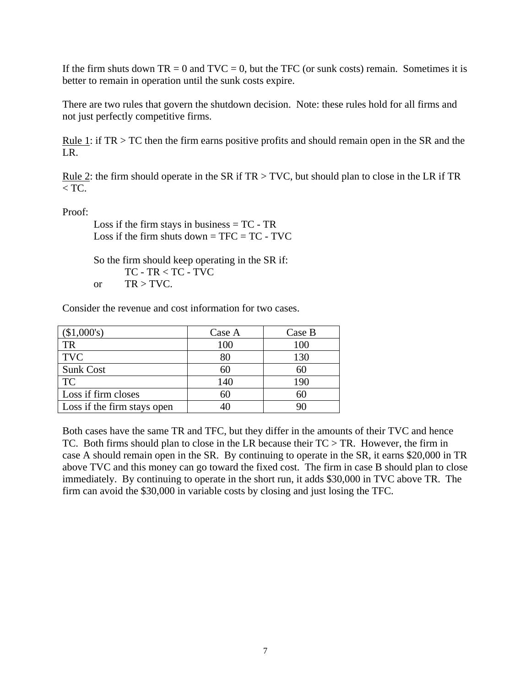If the firm shuts down  $TR = 0$  and  $TVC = 0$ , but the TFC (or sunk costs) remain. Sometimes it is better to remain in operation until the sunk costs expire.

There are two rules that govern the shutdown decision. Note: these rules hold for all firms and not just perfectly competitive firms.

Rule 1: if TR > TC then the firm earns positive profits and should remain open in the SR and the LR.

Rule 2: the firm should operate in the SR if  $TR > TVC$ , but should plan to close in the LR if TR  $<$  TC.

Proof:

Loss if the firm stays in business  $= TC - TR$ Loss if the firm shuts down  $=$  TFC  $=$  TC  $-$  TVC.

So the firm should keep operating in the SR if: TC - TR < TC - TVC or  $TR > TVC$ .

Consider the revenue and cost information for two cases.

| (\$1,000's)                 | Case A | Case B |
|-----------------------------|--------|--------|
| <b>TR</b>                   | 100    | 100    |
| <b>TVC</b>                  | 80     | 130    |
| <b>Sunk Cost</b>            | 60     | 60     |
| <b>TC</b>                   | 140    | 190    |
| Loss if firm closes         | 60     | 60     |
| Loss if the firm stays open |        |        |

Both cases have the same TR and TFC, but they differ in the amounts of their TVC and hence TC. Both firms should plan to close in the LR because their  $TC > TR$ . However, the firm in case A should remain open in the SR. By continuing to operate in the SR, it earns \$20,000 in TR above TVC and this money can go toward the fixed cost. The firm in case B should plan to close immediately. By continuing to operate in the short run, it adds \$30,000 in TVC above TR. The firm can avoid the \$30,000 in variable costs by closing and just losing the TFC.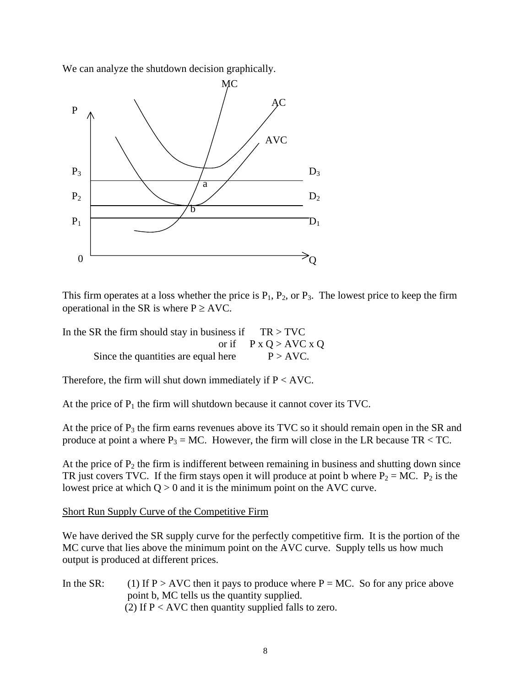We can analyze the shutdown decision graphically.



This firm operates at a loss whether the price is  $P_1$ ,  $P_2$ , or  $P_3$ . The lowest price to keep the firm operational in the SR is where  $P \geq AVC$ .

In the SR the firm should stay in business if  $TR > TVC$ or if  $P x O > AVC x O$ Since the quantities are equal here  $P > \text{AVC}$ .

Therefore, the firm will shut down immediately if  $P < AVC$ .

At the price of  $P_1$  the firm will shutdown because it cannot cover its TVC.

At the price of  $P_3$  the firm earns revenues above its TVC so it should remain open in the SR and produce at point a where  $P_3 = MC$ . However, the firm will close in the LR because TR < TC.

At the price of  $P_2$  the firm is indifferent between remaining in business and shutting down since TR just covers TVC. If the firm stays open it will produce at point b where  $P_2 = MC$ .  $P_2$  is the lowest price at which  $Q > 0$  and it is the minimum point on the AVC curve.

#### Short Run Supply Curve of the Competitive Firm

We have derived the SR supply curve for the perfectly competitive firm. It is the portion of the MC curve that lies above the minimum point on the AVC curve. Supply tells us how much output is produced at different prices.

In the SR: (1) If P > AVC then it pays to produce where P = MC. So for any price above point b, MC tells us the quantity supplied. (2) If  $P < AVC$  then quantity supplied falls to zero.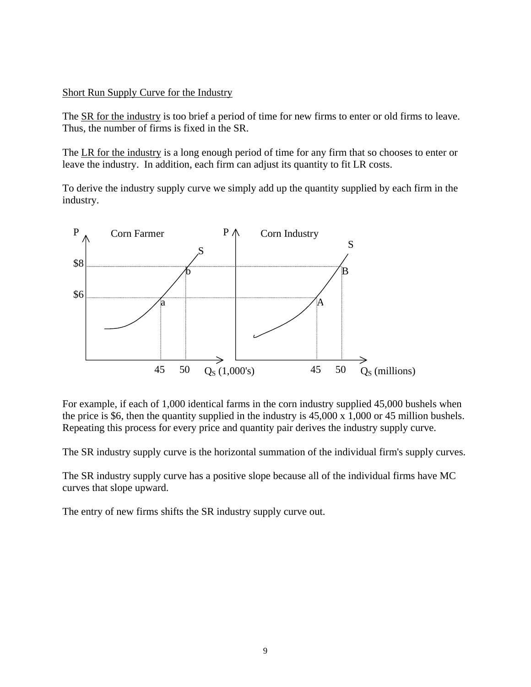# Short Run Supply Curve for the Industry

The SR for the industry is too brief a period of time for new firms to enter or old firms to leave. Thus, the number of firms is fixed in the SR.

The LR for the industry is a long enough period of time for any firm that so chooses to enter or leave the industry. In addition, each firm can adjust its quantity to fit LR costs.

To derive the industry supply curve we simply add up the quantity supplied by each firm in the industry.



For example, if each of 1,000 identical farms in the corn industry supplied 45,000 bushels when the price is \$6, then the quantity supplied in the industry is 45,000 x 1,000 or 45 million bushels. Repeating this process for every price and quantity pair derives the industry supply curve.

The SR industry supply curve is the horizontal summation of the individual firm's supply curves.

The SR industry supply curve has a positive slope because all of the individual firms have MC curves that slope upward.

The entry of new firms shifts the SR industry supply curve out.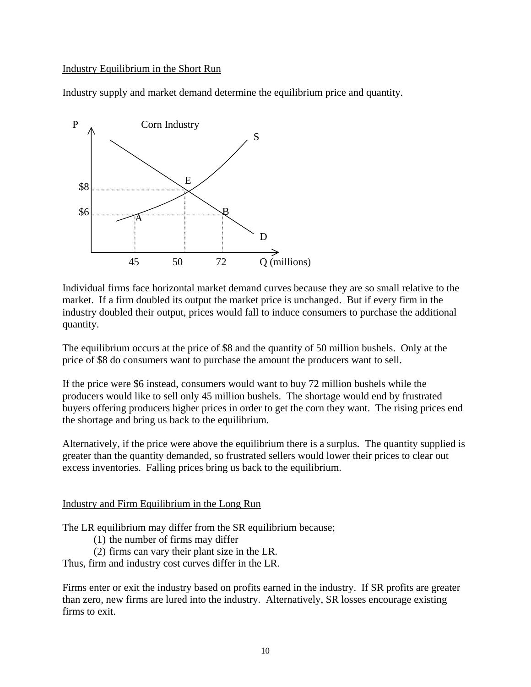# Industry Equilibrium in the Short Run

Industry supply and market demand determine the equilibrium price and quantity.



Individual firms face horizontal market demand curves because they are so small relative to the market. If a firm doubled its output the market price is unchanged. But if every firm in the industry doubled their output, prices would fall to induce consumers to purchase the additional quantity.

The equilibrium occurs at the price of \$8 and the quantity of 50 million bushels. Only at the price of \$8 do consumers want to purchase the amount the producers want to sell.

If the price were \$6 instead, consumers would want to buy 72 million bushels while the producers would like to sell only 45 million bushels. The shortage would end by frustrated buyers offering producers higher prices in order to get the corn they want. The rising prices end the shortage and bring us back to the equilibrium.

Alternatively, if the price were above the equilibrium there is a surplus. The quantity supplied is greater than the quantity demanded, so frustrated sellers would lower their prices to clear out excess inventories. Falling prices bring us back to the equilibrium.

#### Industry and Firm Equilibrium in the Long Run

The LR equilibrium may differ from the SR equilibrium because;

(1) the number of firms may differ

(2) firms can vary their plant size in the LR.

Thus, firm and industry cost curves differ in the LR.

Firms enter or exit the industry based on profits earned in the industry. If SR profits are greater than zero, new firms are lured into the industry. Alternatively, SR losses encourage existing firms to exit.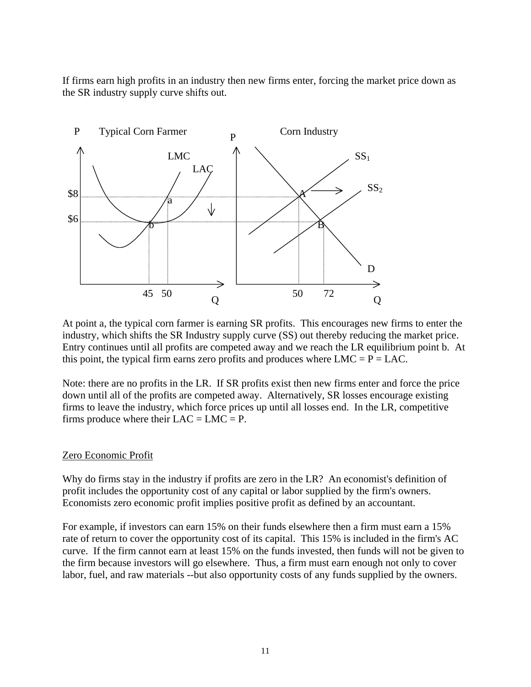If firms earn high profits in an industry then new firms enter, forcing the market price down as the SR industry supply curve shifts out.



At point a, the typical corn farmer is earning SR profits. This encourages new firms to enter the industry, which shifts the SR Industry supply curve (SS) out thereby reducing the market price. Entry continues until all profits are competed away and we reach the LR equilibrium point b. At this point, the typical firm earns zero profits and produces where  $LMC = P = LAC$ .

Note: there are no profits in the LR. If SR profits exist then new firms enter and force the price down until all of the profits are competed away. Alternatively, SR losses encourage existing firms to leave the industry, which force prices up until all losses end. In the LR, competitive firms produce where their  $LAC = LMC = P$ .

#### Zero Economic Profit

Why do firms stay in the industry if profits are zero in the LR? An economist's definition of profit includes the opportunity cost of any capital or labor supplied by the firm's owners. Economists zero economic profit implies positive profit as defined by an accountant.

For example, if investors can earn 15% on their funds elsewhere then a firm must earn a 15% rate of return to cover the opportunity cost of its capital. This 15% is included in the firm's AC curve. If the firm cannot earn at least 15% on the funds invested, then funds will not be given to the firm because investors will go elsewhere. Thus, a firm must earn enough not only to cover labor, fuel, and raw materials --but also opportunity costs of any funds supplied by the owners.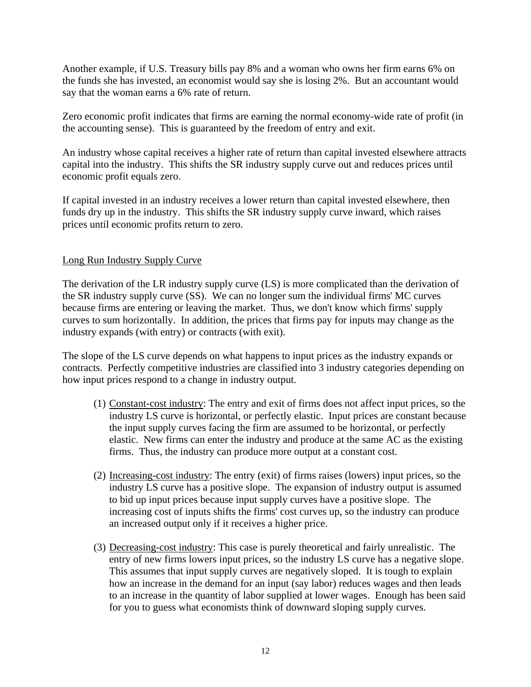Another example, if U.S. Treasury bills pay 8% and a woman who owns her firm earns 6% on the funds she has invested, an economist would say she is losing 2%. But an accountant would say that the woman earns a 6% rate of return.

Zero economic profit indicates that firms are earning the normal economy-wide rate of profit (in the accounting sense). This is guaranteed by the freedom of entry and exit.

An industry whose capital receives a higher rate of return than capital invested elsewhere attracts capital into the industry. This shifts the SR industry supply curve out and reduces prices until economic profit equals zero.

If capital invested in an industry receives a lower return than capital invested elsewhere, then funds dry up in the industry. This shifts the SR industry supply curve inward, which raises prices until economic profits return to zero.

# Long Run Industry Supply Curve

The derivation of the LR industry supply curve (LS) is more complicated than the derivation of the SR industry supply curve (SS). We can no longer sum the individual firms' MC curves because firms are entering or leaving the market. Thus, we don't know which firms' supply curves to sum horizontally. In addition, the prices that firms pay for inputs may change as the industry expands (with entry) or contracts (with exit).

The slope of the LS curve depends on what happens to input prices as the industry expands or contracts. Perfectly competitive industries are classified into 3 industry categories depending on how input prices respond to a change in industry output.

- (1) Constant-cost industry: The entry and exit of firms does not affect input prices, so the industry LS curve is horizontal, or perfectly elastic. Input prices are constant because the input supply curves facing the firm are assumed to be horizontal, or perfectly elastic. New firms can enter the industry and produce at the same AC as the existing firms. Thus, the industry can produce more output at a constant cost.
- (2) Increasing-cost industry: The entry (exit) of firms raises (lowers) input prices, so the industry LS curve has a positive slope. The expansion of industry output is assumed to bid up input prices because input supply curves have a positive slope. The increasing cost of inputs shifts the firms' cost curves up, so the industry can produce an increased output only if it receives a higher price.
- (3) Decreasing-cost industry: This case is purely theoretical and fairly unrealistic. The entry of new firms lowers input prices, so the industry LS curve has a negative slope. This assumes that input supply curves are negatively sloped. It is tough to explain how an increase in the demand for an input (say labor) reduces wages and then leads to an increase in the quantity of labor supplied at lower wages. Enough has been said for you to guess what economists think of downward sloping supply curves.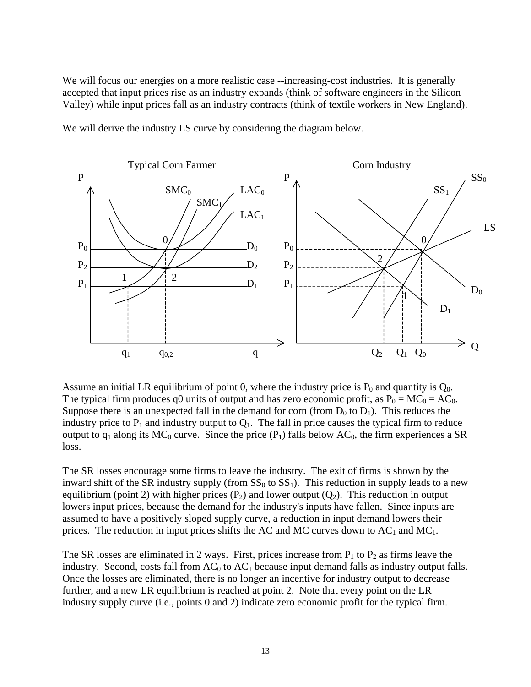We will focus our energies on a more realistic case --increasing-cost industries. It is generally accepted that input prices rise as an industry expands (think of software engineers in the Silicon Valley) while input prices fall as an industry contracts (think of textile workers in New England).

We will derive the industry LS curve by considering the diagram below.



Assume an initial LR equilibrium of point 0, where the industry price is  $P_0$  and quantity is  $Q_0$ . The typical firm produces q0 units of output and has zero economic profit, as  $P_0 = MC_0 = AC_0$ . Suppose there is an unexpected fall in the demand for corn (from  $D_0$  to  $D_1$ ). This reduces the industry price to  $P_1$  and industry output to  $Q_1$ . The fall in price causes the typical firm to reduce output to  $q_1$  along its MC<sub>0</sub> curve. Since the price  $(P_1)$  falls below AC<sub>0</sub>, the firm experiences a SR loss.

The SR losses encourage some firms to leave the industry. The exit of firms is shown by the inward shift of the SR industry supply (from  $SS_0$  to  $SS_1$ ). This reduction in supply leads to a new equilibrium (point 2) with higher prices  $(P_2)$  and lower output  $(Q_2)$ . This reduction in output lowers input prices, because the demand for the industry's inputs have fallen. Since inputs are assumed to have a positively sloped supply curve, a reduction in input demand lowers their prices. The reduction in input prices shifts the AC and MC curves down to  $AC_1$  and  $MC_1$ .

The SR losses are eliminated in 2 ways. First, prices increase from  $P_1$  to  $P_2$  as firms leave the industry. Second, costs fall from  $AC_0$  to  $AC_1$  because input demand falls as industry output falls. Once the losses are eliminated, there is no longer an incentive for industry output to decrease further, and a new LR equilibrium is reached at point 2. Note that every point on the LR industry supply curve (i.e., points 0 and 2) indicate zero economic profit for the typical firm.